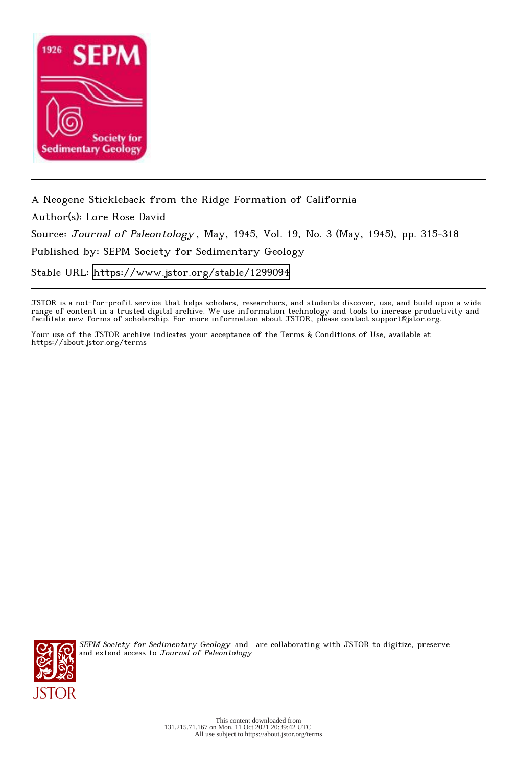

A Neogene Stickleback from the Ridge Formation of California Author(s): Lore Rose David Source: Journal of Paleontology , May, 1945, Vol. 19, No. 3 (May, 1945), pp. 315-318 Published by: SEPM Society for Sedimentary Geology

Stable URL:<https://www.jstor.org/stable/1299094>

JSTOR is a not-for-profit service that helps scholars, researchers, and students discover, use, and build upon a wide range of content in a trusted digital archive. We use information technology and tools to increase productivity and facilitate new forms of scholarship. For more information about JSTOR, please contact support@jstor.org.

Your use of the JSTOR archive indicates your acceptance of the Terms & Conditions of Use, available at https://about.jstor.org/terms



SEPM Society for Sedimentary Geology and are collaborating with JSTOR to digitize, preserve and extend access to Journal of Paleontology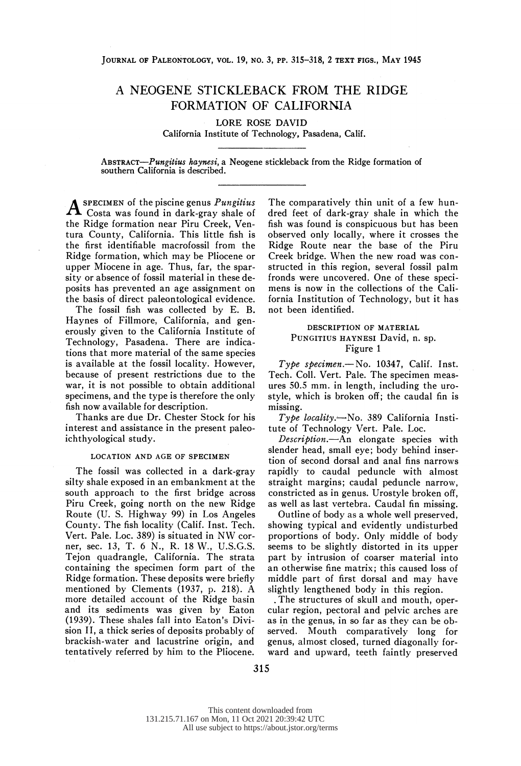# A NEOGENE STICKLEBACK FROM THE RIDGE FORMATION OF CALIFORNIA

LORE ROSE DAVID

California Institute of Technology, Pasadena, Calif.

ABSTRACT-Pungitius haynesi, a Neogene stickleback from the Ridge formation of southern California is described.

SPECIMEN of the piscine genus  $P$ *ungitius*  Costa was found in dark-gray shale of the Ridge formation near Piru Creek, Ven tura County, California. This little fish is the first identifiable macrofossil from the Ridge formation, which may be Pliocene or upper Miocene in age. Thus, far, the spar sity or absence of fossil material in these de posits has prevented an age assignment on the basis of direct paleontological evidence.

 The fossil fish was collected by E. B. Haynes of Fillmore, California, and gen erously given to the California Institute of Technology, Pasadena. There are indica tions that more material of the same species is available at the fossil locality. However, because of present restrictions due to the war, it is not possible to obtain additional specimens, and the type is therefore the only fish now available for description.

 Thanks are due Dr. Chester Stock for his interest and assistance in the present paleo ichthyological study.

### LOCATION AND AGE OF SPECIMEN

 The fossil was collected in a dark-gray silty shale exposed in an embankment at the south approach to the first bridge across Piru Creek, going north on the new Ridge Route (U. S. Highway 99) in Los Angeles County. The fish locality (Calif. Inst. Tech. Vert. Pale. Loc. 389) is situated in NW cor ner, sec. 13, T. 6 N., R. 18 W., U.S.G.S. Tejon quadrangle, California. The strata containing the specimen form part of the Ridge formation. These deposits were briefly mentioned by Clements (1937, p. 218). A more detailed account of the Ridge basin and its sediments was given by Eaton (1939). These shales fall into Eaton's Divi sion II, a thick series of deposits probably of brackish-water and lacustrine origin, and tentatively referred by him to the Pliocene.

 The comparatively thin unit of a few hun dred feet of dark-gray shale in which the fish was found is conspicuous but has been observed only locally, where it crosses the Ridge Route near the base of the Piru Creek bridge. When the new road was con structed in this region, several fossil palm fronds were uncovered. One of these speci mens is now in the collections of the Cali fornia Institution of Technology, but it has not been identified.

# DESCRIPTION OF MATERIAL PUNGITIUS HAYNESI David, n. sp. Figure 1

Type specimen.-No. 10347, Calif. Inst. Tech. Coll. Vert. Pale. The specimen meas ures 50.5 mm. in length, including the uro style, which is broken off; the caudal fin is missing.

Type locality.- $No. 389$  California Institute of Technology Vert. Pale. Loc.

 $Description. - An elongate species with$  slender head, small eye; body behind inser tion of second dorsal and anal fins narrows rapidly to caudal peduncle with almost straight margins; caudal peduncle narrow, constricted as in genus. Urostyle broken off, as well as last vertebra. Caudal fin missing.

 Outline of body as a whole well preserved, showing typical and evidently undisturbed proportions of body. Only middle of body seems to be slightly distorted in its upper part by intrusion of coarser material into an otherwise fine matrix; this caused loss of middle part of first dorsal and may have slightly lengthened body in this region.

 .The structures of skull and mouth, oper cular region, pectoral and pelvic arches are as in the genus, in so far as they can be ob served. Mouth comparatively long for genus, almost closed, turned diagonally for ward and upward, teeth faintly preserved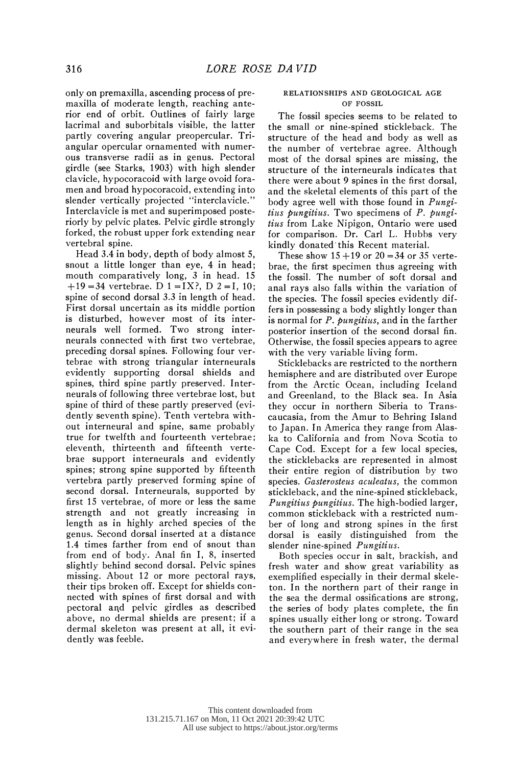only on premaxilla, ascending process of pre maxilla of moderate length, reaching ante rior end of orbit. Outlines of fairly large lacrimal and suborbitals visible, the latter partly covering angular preopercular. Tri angular opercular ornamented with numer ous transverse radii as in genus. Pectoral girdle (see Starks, 1903) with high slender clavicle, hypocoracoid with large ovoid fora men and broad hypocoracoid, extending into slender vertically projected "interclavicle." Interclavicle is met and superimposed poste riorly by pelvic plates. Pelvic girdle strongly forked, the robust upper fork extending near vertebral spine.

 Head 3.4 in body, depth of body almost 5, snout a little longer than eye, 4 in head; mouth comparatively long, 3 in head. 15  $+19 = 34$  vertebrae. D  $1 = IX$ ?, D  $2 = I$ , 10; spine of second dorsal 3.3 in length of head. First dorsal uncertain as its middle portion is disturbed, however most of its inter neurals well formed. Two strong inter neurals connected with first two vertebrae, preceding dorsal spines. Following four ver tebrae with strong triangular interneurals evidently supporting dorsal shields and spines, third spine partly preserved. Inter neurals of following three vertebrae lost, but spine of third of these partly preserved (evi dently seventh spine). Tenth vertebra with out interneural and spine, same probably true for twelfth and fourteenth vertebrae; eleventh, thirteenth and fifteenth verte brae support interneurals and evidently spines; strong spine supported by fifteenth vertebra partly preserved forming spine of second dorsal. Interneurals, supported by first 15 vertebrae, of more or less the same strength and not greatly increasing in length as in highly arched species of the genus. Second dorsal inserted at a distance 1.4 times farther from end of snout than from end of body. Anal fin I, 8, inserted slightly behind second dorsal. Pelvic spines missing. About 12 or more pectoral rays, their tips broken off. Except for shields con nected with spines of first dorsal and with pectoral aqd pelvic girdles as described above, no dermal shields are present; if a dermal skeleton was present at all, it evi dently was feeble.

## RELATIONSHIPS AND GEOLOGICAL AGE OF FOSSIL

 The fossil species seems to be related to the small or nine-spined stickleback. The structure of the head and body as well as the number of vertebrae agree. Although most of the dorsal spines are missing, the structure of the interneurals indicates that there were about 9 spines in the first dorsal, and the skeletal elements of this part of the body agree well with those found in Pungi tins pungitius. Two specimens of P. pungi tius from Lake Nipigon, Ontario were used for comparison. Dr. Carl L. Hubbs very kindly donated'this Recent material.

These show  $15 + 19$  or  $20 = 34$  or 35 verte brae, the first specimen thus agreeing with the fossil. The number of soft dorsal and anal rays also falls within the variation of the species. The fossil species evidently dif fers in possessing a body slightly longer than is normal for  $P$ . pungitius, and in the farther posterior insertion of the second dorsal fin. Otherwise, the fossil species appears to agree with the very variable living form.

 Sticklebacks are restricted to the northern hemisphere and are distributed over Europe from the Arctic Ocean, including Iceland and Greenland, to the Black sea. In Asia they occur in northern Siberia to Trans caucasia, from the Amur to Behring Island to Japan. In America they range from Alas ka to California and from Nova Scotia to Cape Cod. Except for a few local species, the sticklebacks are represented in almost their entire region of distribution by two species. Gasterosteus aculeatus, the common stickleback, and the nine-spined stickleback, Pungitius pungitius. The high-bodied larger, common stickleback with a restricted num ber of long and strong spines in the first dorsal is easily distinguished from the slender nine-spined Pungitius.

 Both species occur in salt, brackish, and fresh water and show great variability as exemplified especially in their dermal skele ton. In the northern part of their range in the sea the dermal ossifications are strong, the series of body plates complete, the fin spines usually either long or strong. Toward the southern part of their range in the sea and everywhere in fresh water, the dermal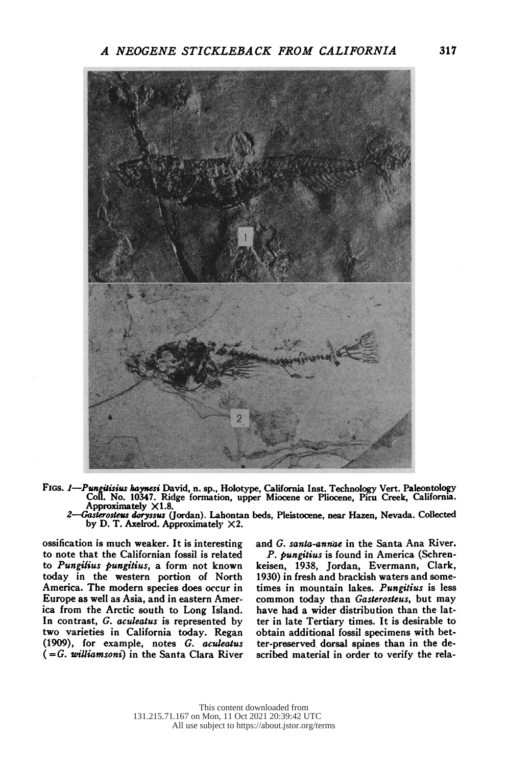

- FIGS. 1-Pungitisius haynesi David, n. sp., Holotype, California Inst. Technology Vert. Paleontology Col. No. 10347. Ridge formation, upper Miocene or Pliocene, Piru Creek, California. Approximately X1.8.
	- 2-Gasterostes doryssus (Jordan). Lahontan beds, Pleistocene, near Hazen, Nevada. Collected by D. T. Axelrod. Approximately X2.

 ossification is much weaker. It is interesting to note that the Californian fossil is related to Pungifius pungitius, a form not known today in the western portion of North America. The modern species does occur in Europe as well as Asia, and in eastern Amer ica from the Arctic south to Long Island. In contrast, G. aculeatus is represented by two varieties in California today. Regan (1909), for example, notes G. aculeatus  $( =G.$  williamsoni) in the Santa Clara River and G. santa-annae in the Santa Ana River.

 P. pungitius is found in America (Schren keisen, 1938, Jordan, Evermann, Clark, 1930) in fresh and brackish waters and some times in mountain lakes. Pungitius is less common today than Gasterosteus, but may have had a wider distribution than the lat ter in late Tertiary times. It is desirable to obtain additional fossil specimens with bet ter-preserved dorsal spines than in the de scribed material in order to verify the rela